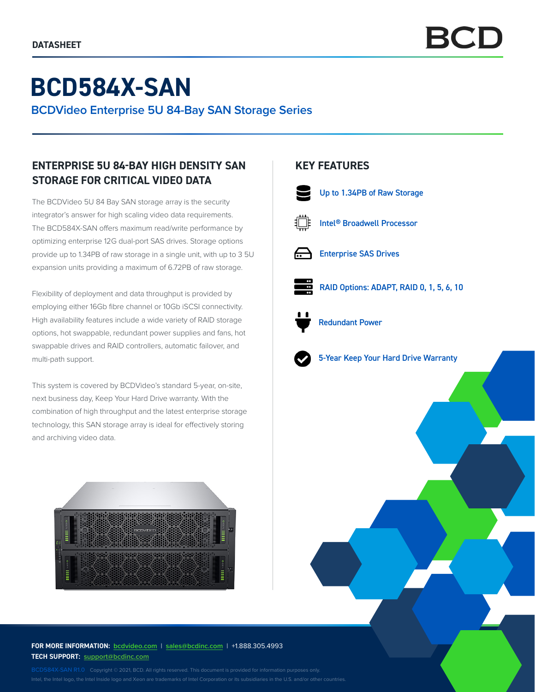# **BCD584X-SAN**

**BCDVideo Enterprise 5U 84-Bay SAN Storage Series**

# **ENTERPRISE 5U 84-BAY HIGH DENSITY SAN STORAGE FOR CRITICAL VIDEO DATA**

The BCDVideo 5U 84 Bay SAN storage array is the security integrator's answer for high scaling video data requirements. The BCD584X-SAN offers maximum read/write performance by optimizing enterprise 12G dual-port SAS drives. Storage options provide up to 1.34PB of raw storage in a single unit, with up to 3 5U expansion units providing a maximum of 6.72PB of raw storage.

Flexibility of deployment and data throughput is provided by employing either 16Gb fibre channel or 10Gb iSCSI connectivity. High availability features include a wide variety of RAID storage options, hot swappable, redundant power supplies and fans, hot swappable drives and RAID controllers, automatic failover, and multi-path support.

This system is covered by BCDVideo's standard 5-year, on-site, next business day, Keep Your Hard Drive warranty. With the combination of high throughput and the latest enterprise storage technology, this SAN storage array is ideal for effectively storing and archiving video data.



### **FOR MORE INFORMATION: bcdvideo[.com](http://bcdvideo.com)** | **[sales@bcdinc.com](mailto:sales%40bcdinc.com?subject=)** | +1.888.305.4993 **TECH SUPPORT: [support@bcdinc.com](mailto:support%40bcdinc.com?subject=)**

Intel, the Intel logo, the Intel Inside logo and Xeon are trademarks of Intel Corporation or its subsidiaries in the U.S. and/or other countries.

## **KEY FEATURES**



Up to 1.34PB of Raw Storage



Intel® Broadwell Processor



Enterprise SAS Drives



RAID Options: ADAPT, RAID 0, 1, 5, 6, 10



Redundant Power



5-Year Keep Your Hard Drive Warranty